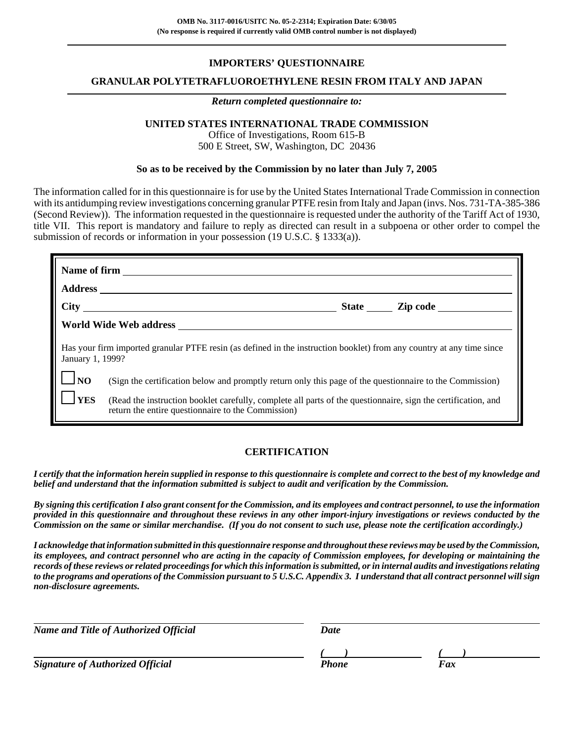# **IMPORTERS' QUESTIONNAIRE**

### **GRANULAR POLYTETRAFLUOROETHYLENE RESIN FROM ITALY AND JAPAN**

#### *Return completed questionnaire to:*

# **UNITED STATES INTERNATIONAL TRADE COMMISSION**

Office of Investigations, Room 615-B 500 E Street, SW, Washington, DC 20436

### **So as to be received by the Commission by no later than July 7, 2005**

The information called for in this questionnaire is for use by the United States International Trade Commission in connection with its antidumping review investigations concerning granular PTFE resin from Italy and Japan (invs. Nos. 731-TA-385-386) (Second Review)). The information requested in the questionnaire is requested under the authority of the Tariff Act of 1930, title VII. This report is mandatory and failure to reply as directed can result in a subpoena or other order to compel the submission of records or information in your possession (19 U.S.C. § 1333(a)).

| Has your firm imported granular PTFE resin (as defined in the instruction booklet) from any country at any time since<br>January 1, 1999? |                                                                                                                                                                     |  |
|-------------------------------------------------------------------------------------------------------------------------------------------|---------------------------------------------------------------------------------------------------------------------------------------------------------------------|--|
| $\mathsf{I}$ $\mathsf{I}$ NO                                                                                                              | (Sign the certification below and promptly return only this page of the questionnaire to the Commission)                                                            |  |
| <b>YES</b>                                                                                                                                | (Read the instruction booklet carefully, complete all parts of the questionnaire, sign the certification, and<br>return the entire questionnaire to the Commission) |  |

## **CERTIFICATION**

*I certify that the information herein supplied in response to this questionnaire is complete and correct to the best of my knowledge and belief and understand that the information submitted is subject to audit and verification by the Commission.*

*By signing this certification I also grant consent for the Commission, and its employees and contract personnel, to use the information provided in this questionnaire and throughout these reviews in any other import-injury investigations or reviews conducted by the Commission on the same or similar merchandise. (If you do not consent to such use, please note the certification accordingly.)*

*I acknowledge that information submitted in this questionnaire response and throughout these reviews may be used by the Commission, its employees, and contract personnel who are acting in the capacity of Commission employees, for developing or maintaining the records of these reviews or related proceedings for which this information is submitted, or in internal audits and investigations relating to the programs and operations of the Commission pursuant to 5 U.S.C. Appendix 3. I understand that all contract personnel will sign non-disclosure agreements.*

| Name and Title of Authorized Official   | Date         |     |  |
|-----------------------------------------|--------------|-----|--|
|                                         |              |     |  |
| <b>Signature of Authorized Official</b> | <b>Phone</b> | Fax |  |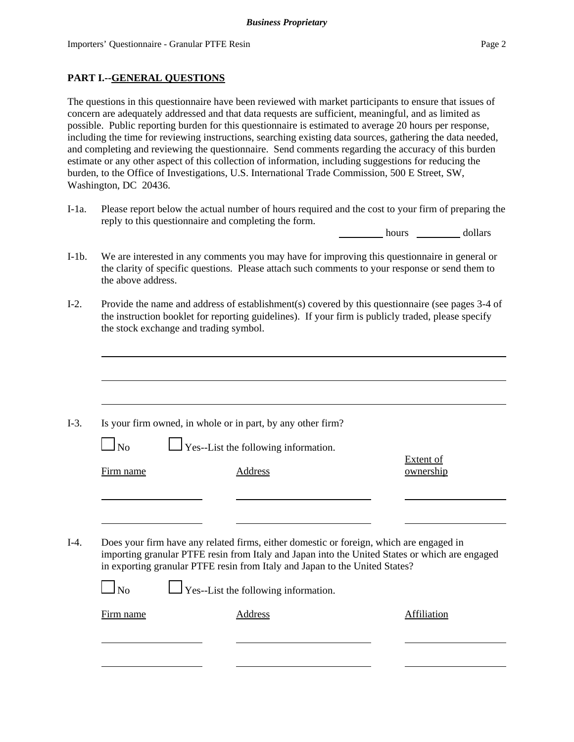# **PART I.--GENERAL QUESTIONS**

The questions in this questionnaire have been reviewed with market participants to ensure that issues of concern are adequately addressed and that data requests are sufficient, meaningful, and as limited as possible. Public reporting burden for this questionnaire is estimated to average 20 hours per response, including the time for reviewing instructions, searching existing data sources, gathering the data needed, and completing and reviewing the questionnaire. Send comments regarding the accuracy of this burden estimate or any other aspect of this collection of information, including suggestions for reducing the burden, to the Office of Investigations, U.S. International Trade Commission, 500 E Street, SW, Washington, DC 20436.

I-1a. Please report below the actual number of hours required and the cost to your firm of preparing the reply to this questionnaire and completing the form.

hours dollars

- I-1b. We are interested in any comments you may have for improving this questionnaire in general or the clarity of specific questions. Please attach such comments to your response or send them to the above address.
- I-2. Provide the name and address of establishment(s) covered by this questionnaire (see pages 3-4 of the instruction booklet for reporting guidelines). If your firm is publicly traded, please specify the stock exchange and trading symbol.

|                | Is your firm owned, in whole or in part, by any other firm?                                                                                                                                                                                                              |                        |
|----------------|--------------------------------------------------------------------------------------------------------------------------------------------------------------------------------------------------------------------------------------------------------------------------|------------------------|
| $\Box$ No      | $\Box$ Yes--List the following information.                                                                                                                                                                                                                              |                        |
| Firm name      | <b>Address</b>                                                                                                                                                                                                                                                           | Extent of<br>ownership |
|                |                                                                                                                                                                                                                                                                          |                        |
|                |                                                                                                                                                                                                                                                                          |                        |
|                |                                                                                                                                                                                                                                                                          |                        |
|                | Does your firm have any related firms, either domestic or foreign, which are engaged in<br>importing granular PTFE resin from Italy and Japan into the United States or which are engaged<br>in exporting granular PTFE resin from Italy and Japan to the United States? |                        |
| N <sub>o</sub> | $\Box$ Yes--List the following information.                                                                                                                                                                                                                              |                        |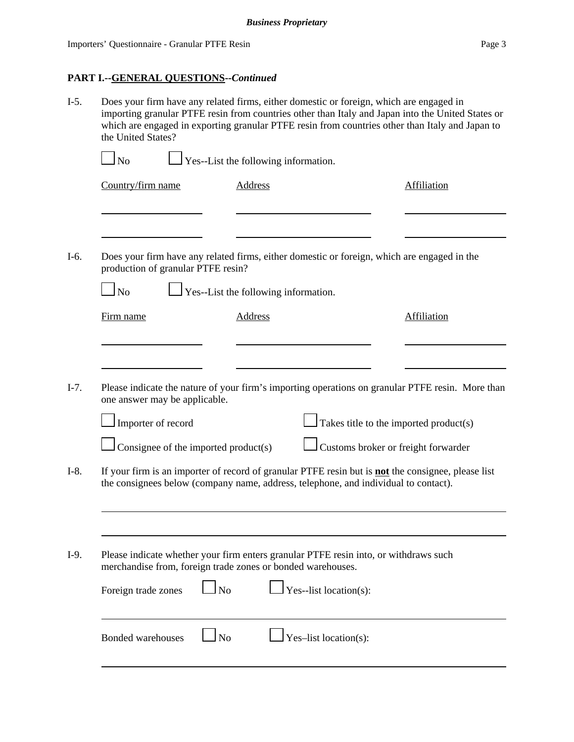- I-5. Does your firm have any related firms, either domestic or foreign, which are engaged in importing granular PTFE resin from countries other than Italy and Japan into the United States or which are engaged in exporting granular PTFE resin from countries other than Italy and Japan to the United States?  $\Box$  No  $\Box$  Yes--List the following information. **Country/firm name** Address Address Affiliation
- I-6. Does your firm have any related firms, either domestic or foreign, which are engaged in the production of granular PTFE resin?

| Firm name                                   | Address<br>Affiliation                                                                                                                                                                           |
|---------------------------------------------|--------------------------------------------------------------------------------------------------------------------------------------------------------------------------------------------------|
|                                             |                                                                                                                                                                                                  |
| one answer may be applicable.               | Please indicate the nature of your firm's importing operations on granular PTFE resin. More than                                                                                                 |
| Importer of record                          | Takes title to the imported product(s)                                                                                                                                                           |
| $\Box$ Consignee of the imported product(s) | Customs broker or freight forwarder                                                                                                                                                              |
|                                             | If your firm is an importer of record of granular PTFE resin but is <b>not</b> the consignee, please list<br>the consignees below (company name, address, telephone, and individual to contact). |
|                                             |                                                                                                                                                                                                  |

| I-9. | Please indicate whether your firm enters granular PTFE resin into, or withdraws such |
|------|--------------------------------------------------------------------------------------|
|      | merchandise from, foreign trade zones or bonded warehouses.                          |

| Foreign trade zones $\Box$ No | $\Box$ Yes--list location(s): |
|-------------------------------|-------------------------------|
| Bonded warehouses LNo         | $\Box$ Yes-list location(s):  |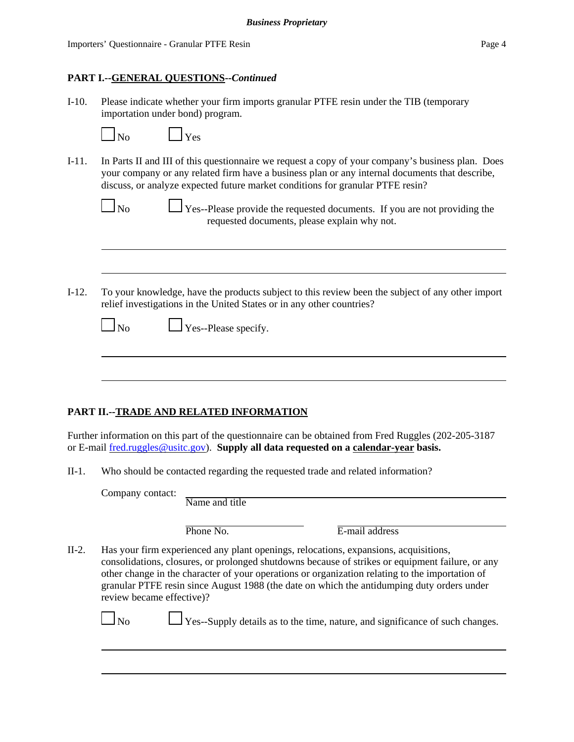## **PART I.--GENERAL QUESTIONS--***Continued*

I-10. Please indicate whether your firm imports granular PTFE resin under the TIB (temporary importation under bond) program.

| N٥ |  |
|----|--|

 $\vert$   $\vert$  Yes

I-11. In Parts II and III of this questionnaire we request a copy of your company's business plan. Does your company or any related firm have a business plan or any internal documents that describe, discuss, or analyze expected future market conditions for granular PTFE resin?

| N٢<br>ı |  |
|---------|--|

 $\Box$  Yes--Please provide the requested documents. If you are not providing the requested documents, please explain why not.

I-12. To your knowledge, have the products subject to this review been the subject of any other import relief investigations in the United States or in any other countries?

| u<br>., |  |
|---------|--|
|---------|--|

 $\Box$  Yes--Please specify.

# **PART II.--TRADE AND RELATED INFORMATION**

Further information on this part of the questionnaire can be obtained from Fred Ruggles (202-205-3187 or E-mail fred.ruggles@usitc.gov). **Supply all data requested on a calendar-year basis.**

II-1. Who should be contacted regarding the requested trade and related information?

Company contact:

| Phone No. |  |
|-----------|--|
|           |  |

E-mail address

II-2. Has your firm experienced any plant openings, relocations, expansions, acquisitions, consolidations, closures, or prolonged shutdowns because of strikes or equipment failure, or any other change in the character of your operations or organization relating to the importation of granular PTFE resin since August 1988 (the date on which the antidumping duty orders under review became effective)?

 $\Box$  No  $\Box$  Yes--Supply details as to the time, nature, and significance of such changes.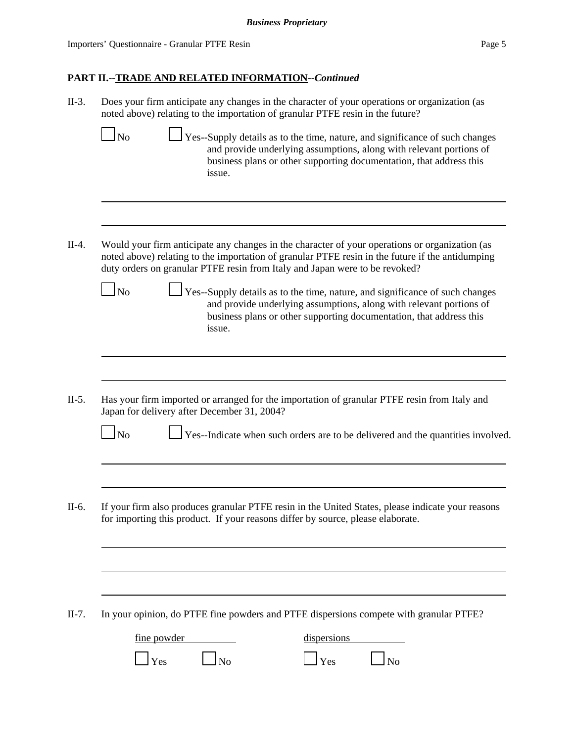Importers' Questionnaire - Granular PTFE Resin Page 5

# **PART II.--TRADE AND RELATED INFORMATION--***Continued*

| $II-3.$ | Does your firm anticipate any changes in the character of your operations or organization (as<br>noted above) relating to the importation of granular PTFE resin in the future?                                                                                                                                                                                                                                                                                                                                                             |
|---------|---------------------------------------------------------------------------------------------------------------------------------------------------------------------------------------------------------------------------------------------------------------------------------------------------------------------------------------------------------------------------------------------------------------------------------------------------------------------------------------------------------------------------------------------|
|         | Yes--Supply details as to the time, nature, and significance of such changes<br>$\overline{\text{No}}$<br>and provide underlying assumptions, along with relevant portions of<br>business plans or other supporting documentation, that address this<br>issue.                                                                                                                                                                                                                                                                              |
| $II-4.$ | Would your firm anticipate any changes in the character of your operations or organization (as<br>noted above) relating to the importation of granular PTFE resin in the future if the antidumping<br>duty orders on granular PTFE resin from Italy and Japan were to be revoked?<br>Yes--Supply details as to the time, nature, and significance of such changes<br>N <sub>o</sub><br>and provide underlying assumptions, along with relevant portions of<br>business plans or other supporting documentation, that address this<br>issue. |
| $II-5.$ | Has your firm imported or arranged for the importation of granular PTFE resin from Italy and<br>Japan for delivery after December 31, 2004?<br>Yes--Indicate when such orders are to be delivered and the quantities involved.<br>$\ln$                                                                                                                                                                                                                                                                                                     |
| II-6.   | If your firm also produces granular PTFE resin in the United States, please indicate your reasons<br>for importing this product. If your reasons differ by source, please elaborate.                                                                                                                                                                                                                                                                                                                                                        |
| $II-7.$ | In your opinion, do PTFE fine powders and PTFE dispersions compete with granular PTFE?<br>fine powder<br>dispersions<br>Yes<br>N <sub>o</sub><br>Yes                                                                                                                                                                                                                                                                                                                                                                                        |
|         |                                                                                                                                                                                                                                                                                                                                                                                                                                                                                                                                             |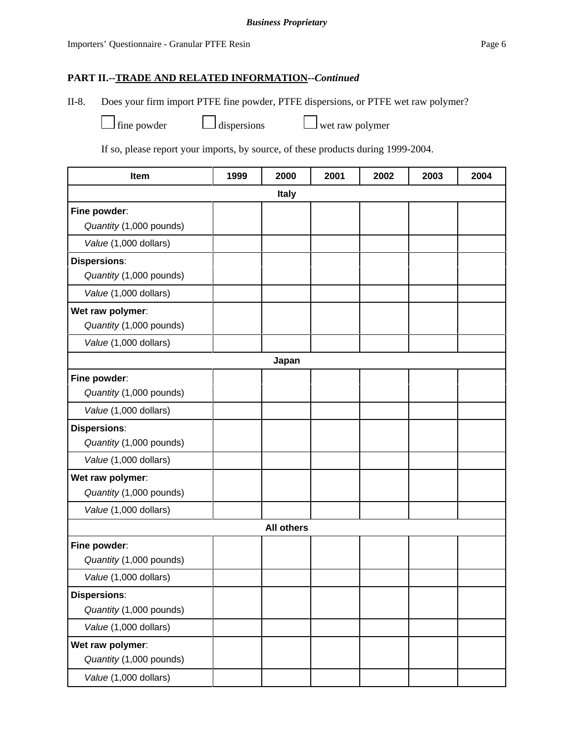II-8. Does your firm import PTFE fine powder, PTFE dispersions, or PTFE wet raw polymer?

 $\Box$  fine powder  $\Box$  dispersions  $\Box$  wet raw polymer

If so, please report your imports, by source, of these products during 1999-2004.

| Item                    | 1999 | 2000              | 2001 | 2002 | 2003 | 2004 |
|-------------------------|------|-------------------|------|------|------|------|
|                         |      | <b>Italy</b>      |      |      |      |      |
| Fine powder:            |      |                   |      |      |      |      |
| Quantity (1,000 pounds) |      |                   |      |      |      |      |
| Value (1,000 dollars)   |      |                   |      |      |      |      |
| <b>Dispersions:</b>     |      |                   |      |      |      |      |
| Quantity (1,000 pounds) |      |                   |      |      |      |      |
| Value (1,000 dollars)   |      |                   |      |      |      |      |
| Wet raw polymer:        |      |                   |      |      |      |      |
| Quantity (1,000 pounds) |      |                   |      |      |      |      |
| Value (1,000 dollars)   |      |                   |      |      |      |      |
|                         |      | Japan             |      |      |      |      |
| Fine powder:            |      |                   |      |      |      |      |
| Quantity (1,000 pounds) |      |                   |      |      |      |      |
| Value (1,000 dollars)   |      |                   |      |      |      |      |
| <b>Dispersions:</b>     |      |                   |      |      |      |      |
| Quantity (1,000 pounds) |      |                   |      |      |      |      |
| Value (1,000 dollars)   |      |                   |      |      |      |      |
| Wet raw polymer:        |      |                   |      |      |      |      |
| Quantity (1,000 pounds) |      |                   |      |      |      |      |
| Value (1,000 dollars)   |      |                   |      |      |      |      |
|                         |      | <b>All others</b> |      |      |      |      |
| Fine powder:            |      |                   |      |      |      |      |
| Quantity (1,000 pounds) |      |                   |      |      |      |      |
| Value (1,000 dollars)   |      |                   |      |      |      |      |
| <b>Dispersions:</b>     |      |                   |      |      |      |      |
| Quantity (1,000 pounds) |      |                   |      |      |      |      |
| Value (1,000 dollars)   |      |                   |      |      |      |      |
| Wet raw polymer:        |      |                   |      |      |      |      |
| Quantity (1,000 pounds) |      |                   |      |      |      |      |
| Value (1,000 dollars)   |      |                   |      |      |      |      |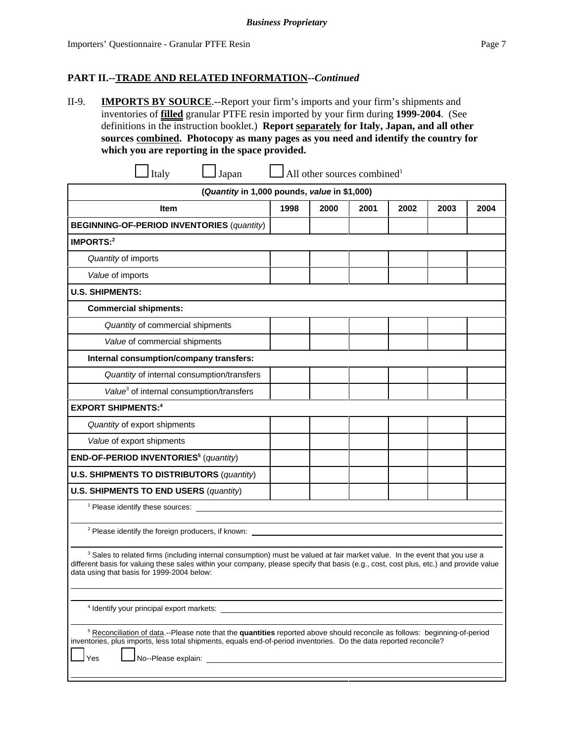II-9. **IMPORTS BY SOURCE**.--Report your firm's imports and your firm's shipments and inventories of **filled** granular PTFE resin imported by your firm during **1999-2004**. (See definitions in the instruction booklet.) **Report separately for Italy, Japan, and all other sources combined. Photocopy as many pages as you need and identify the country for which you are reporting in the space provided.**

| Italy<br>Japan                                                                                                                                                                                                                                                                                                                |      | All other sources combined <sup>1</sup> |      |      |      |      |
|-------------------------------------------------------------------------------------------------------------------------------------------------------------------------------------------------------------------------------------------------------------------------------------------------------------------------------|------|-----------------------------------------|------|------|------|------|
| (Quantity in 1,000 pounds, value in \$1,000)                                                                                                                                                                                                                                                                                  |      |                                         |      |      |      |      |
| <b>Item</b>                                                                                                                                                                                                                                                                                                                   | 1998 | 2000                                    | 2001 | 2002 | 2003 | 2004 |
| <b>BEGINNING-OF-PERIOD INVENTORIES (quantity)</b>                                                                                                                                                                                                                                                                             |      |                                         |      |      |      |      |
| IMPORTS: $2$                                                                                                                                                                                                                                                                                                                  |      |                                         |      |      |      |      |
| Quantity of imports                                                                                                                                                                                                                                                                                                           |      |                                         |      |      |      |      |
| Value of imports                                                                                                                                                                                                                                                                                                              |      |                                         |      |      |      |      |
| <b>U.S. SHIPMENTS:</b>                                                                                                                                                                                                                                                                                                        |      |                                         |      |      |      |      |
| <b>Commercial shipments:</b>                                                                                                                                                                                                                                                                                                  |      |                                         |      |      |      |      |
| Quantity of commercial shipments                                                                                                                                                                                                                                                                                              |      |                                         |      |      |      |      |
| Value of commercial shipments                                                                                                                                                                                                                                                                                                 |      |                                         |      |      |      |      |
| Internal consumption/company transfers:                                                                                                                                                                                                                                                                                       |      |                                         |      |      |      |      |
| Quantity of internal consumption/transfers                                                                                                                                                                                                                                                                                    |      |                                         |      |      |      |      |
| Value <sup>3</sup> of internal consumption/transfers                                                                                                                                                                                                                                                                          |      |                                         |      |      |      |      |
| <b>EXPORT SHIPMENTS:4</b>                                                                                                                                                                                                                                                                                                     |      |                                         |      |      |      |      |
| Quantity of export shipments                                                                                                                                                                                                                                                                                                  |      |                                         |      |      |      |      |
| Value of export shipments                                                                                                                                                                                                                                                                                                     |      |                                         |      |      |      |      |
| END-OF-PERIOD INVENTORIES <sup>5</sup> (quantity)                                                                                                                                                                                                                                                                             |      |                                         |      |      |      |      |
| <b>U.S. SHIPMENTS TO DISTRIBUTORS (quantity)</b>                                                                                                                                                                                                                                                                              |      |                                         |      |      |      |      |
| <b>U.S. SHIPMENTS TO END USERS (quantity)</b>                                                                                                                                                                                                                                                                                 |      |                                         |      |      |      |      |
| <sup>1</sup> Please identify these sources:                                                                                                                                                                                                                                                                                   |      |                                         |      |      |      |      |
| <sup>2</sup> Please identify the foreign producers, if known:                                                                                                                                                                                                                                                                 |      |                                         |      |      |      |      |
| <sup>3</sup> Sales to related firms (including internal consumption) must be valued at fair market value. In the event that you use a<br>different basis for valuing these sales within your company, please specify that basis (e.g., cost, cost plus, etc.) and provide value<br>data using that basis for 1999-2004 below: |      |                                         |      |      |      |      |
| <sup>4</sup> Identify your principal export markets:                                                                                                                                                                                                                                                                          |      |                                         |      |      |      |      |
| <sup>5</sup> Reconciliation of data.--Please note that the quantities reported above should reconcile as follows: beginning-of-period                                                                                                                                                                                         |      |                                         |      |      |      |      |

inventories, plus imports, less total shipments, equals end-of-period inventories. Do the data reported reconcile?

Yes **L** No--Please explain: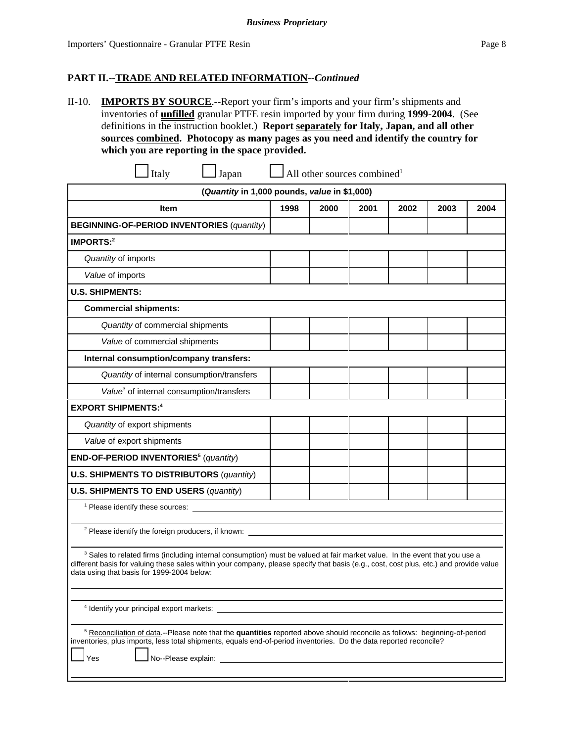II-10. **IMPORTS BY SOURCE**.--Report your firm's imports and your firm's shipments and inventories of **unfilled** granular PTFE resin imported by your firm during **1999-2004**. (See definitions in the instruction booklet.) **Report separately for Italy, Japan, and all other sources combined. Photocopy as many pages as you need and identify the country for which you are reporting in the space provided.**

 $\lceil \text{Italy} \rceil$  Japan  $\lceil \text{All other sources combined} \rceil$ **(***Quantity* **in 1,000 pounds,** *value* **in \$1,000) Item 1998 2000 2001 2002 2003 2004 BEGINNING-OF-PERIOD INVENTORIES** (*quantity*) **IMPORTS:2** *Quantity* of imports *Value* of imports **U.S. SHIPMENTS: Commercial shipments:** *Quantity* of commercial shipments *Value* of commercial shipments **Internal consumption/company transfers:** *Quantity* of internal consumption/transfers *Value*<sup>3</sup> of internal consumption/transfers **EXPORT SHIPMENTS:4** *Quantity* of export shipments *Value* of export shipments **END-OF-PERIOD INVENTORIES5** (*quantity*) **U.S. SHIPMENTS TO DISTRIBUTORS** (*quantity*) **U.S. SHIPMENTS TO END USERS** (*quantity*) <sup>1</sup> Please identify these sources:

<sup>2</sup> Please identify the foreign producers, if known:

<sup>3</sup> Sales to related firms (including internal consumption) must be valued at fair market value. In the event that you use a different basis for valuing these sales within your company, please specify that basis (e.g., cost, cost plus, etc.) and provide value data using that basis for 1999-2004 below:

4 Identify your principal export markets:

<sup>5</sup> Reconciliation of data.--Please note that the **quantities** reported above should reconcile as follows: beginning-of-period inventories, plus imports, less total shipments, equals end-of-period inventories. Do the data reported reconcile?

Yes **Lating No--Please explain:**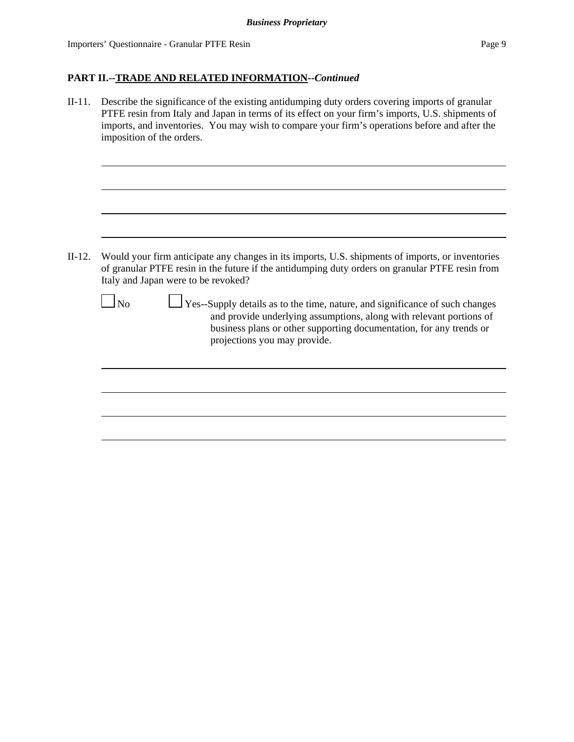II-11. Describe the significance of the existing antidumping duty orders covering imports of granular PTFE resin from Italy and Japan in terms of its effect on your firm's imports, U.S. shipments of imports, and inventories. You may wish to compare your firm's operations before and after the imposition of the orders. II-12. Would your firm anticipate any changes in its imports, U.S. shipments of imports, or inventories of granular PTFE resin in the future if the antidumping duty orders on granular PTFE resin from Italy and Japan were to be revoked?  $\Box$  No  $\Box$  Yes--Supply details as to the time, nature, and significance of such changes and provide underlying assumptions, along with relevant portions of business plans or other supporting documentation, for any trends or projections you may provide.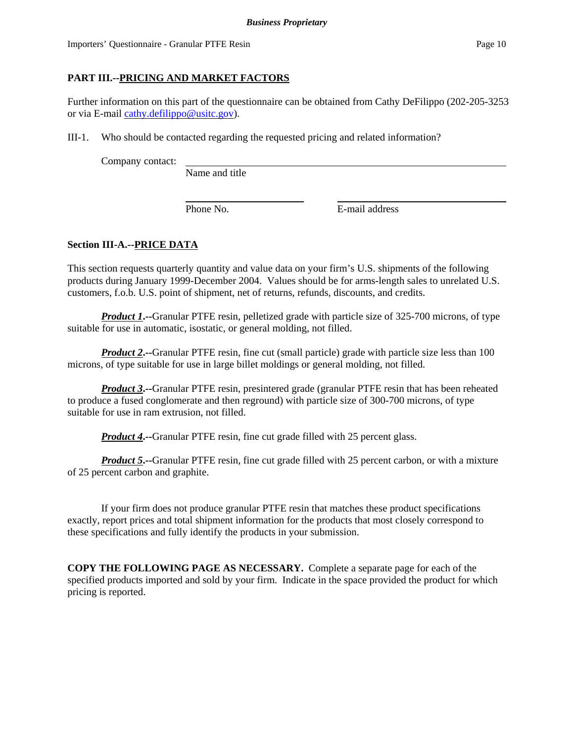Importers' Questionnaire - Granular PTFE Resin Page 10

# **PART III.--PRICING AND MARKET FACTORS**

Further information on this part of the questionnaire can be obtained from Cathy DeFilippo (202-205-3253 or via E-mail cathy.defilippo@usitc.gov).

III-1. Who should be contacted regarding the requested pricing and related information?

Company contact:

Name and title

Phone No. **E**-mail address

# **Section III-A.--PRICE DATA**

This section requests quarterly quantity and value data on your firm's U.S. shipments of the following products during January 1999-December 2004. Values should be for arms-length sales to unrelated U.S. customers, f.o.b. U.S. point of shipment, net of returns, refunds, discounts, and credits.

*Product 1***.--**Granular PTFE resin, pelletized grade with particle size of 325-700 microns, of type suitable for use in automatic, isostatic, or general molding, not filled.

*Product 2***.**--Granular PTFE resin, fine cut (small particle) grade with particle size less than 100 microns, of type suitable for use in large billet moldings or general molding, not filled.

*Product 3***</u>.**--Granular PTFE resin, presintered grade (granular PTFE resin that has been reheated to produce a fused conglomerate and then reground) with particle size of 300-700 microns, of type suitable for use in ram extrusion, not filled.

*Product 4***.** --Granular PTFE resin, fine cut grade filled with 25 percent glass.

*Product 5***.--**Granular PTFE resin, fine cut grade filled with 25 percent carbon, or with a mixture of 25 percent carbon and graphite.

If your firm does not produce granular PTFE resin that matches these product specifications exactly, report prices and total shipment information for the products that most closely correspond to these specifications and fully identify the products in your submission.

**COPY THE FOLLOWING PAGE AS NECESSARY.** Complete a separate page for each of the specified products imported and sold by your firm. Indicate in the space provided the product for which pricing is reported.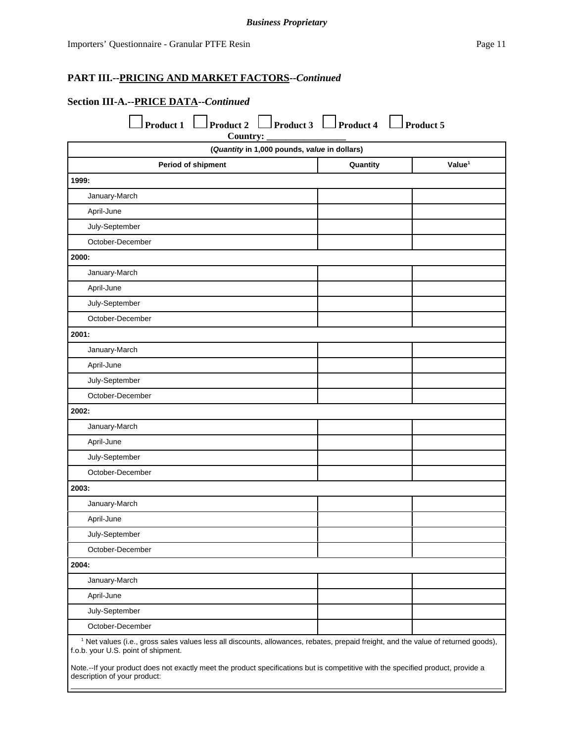# **Section III-A.--PRICE DATA--***Continued*

| (Quantity in 1,000 pounds, value in dollars) |          |                    |
|----------------------------------------------|----------|--------------------|
| Period of shipment                           | Quantity | Value <sup>1</sup> |
| 1999:                                        |          |                    |
| January-March                                |          |                    |
| April-June                                   |          |                    |
| July-September                               |          |                    |
| October-December                             |          |                    |
| 2000:                                        |          |                    |
| January-March                                |          |                    |
| April-June                                   |          |                    |
| July-September                               |          |                    |
| October-December                             |          |                    |
| 2001:                                        |          |                    |
| January-March                                |          |                    |
| April-June                                   |          |                    |
| July-September                               |          |                    |
| October-December                             |          |                    |
| 2002:                                        |          |                    |
| January-March                                |          |                    |
| April-June                                   |          |                    |
| July-September                               |          |                    |
| October-December                             |          |                    |
| 2003:                                        |          |                    |
| January-March                                |          |                    |
| April-June                                   |          |                    |
| July-September                               |          |                    |
| October-December                             |          |                    |
| 2004:                                        |          |                    |
| January-March                                |          |                    |
| April-June                                   |          |                    |
| July-September                               |          |                    |
| October-December                             |          |                    |

Note.--If your product does not exactly meet the product specifications but is competitive with the specified product, provide a description of your product: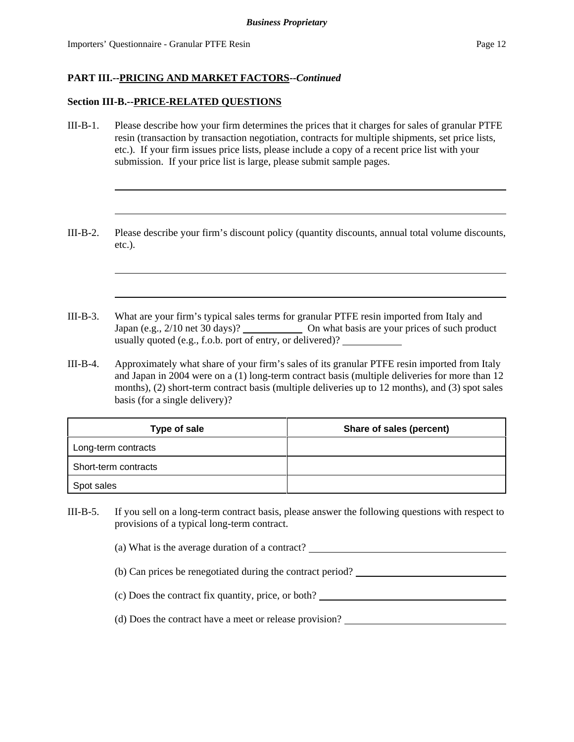#### **Section III-B.--PRICE-RELATED QUESTIONS**

- III-B-1. Please describe how your firm determines the prices that it charges for sales of granular PTFE resin (transaction by transaction negotiation, contracts for multiple shipments, set price lists, etc.). If your firm issues price lists, please include a copy of a recent price list with your submission. If your price list is large, please submit sample pages.
- III-B-2. Please describe your firm's discount policy (quantity discounts, annual total volume discounts, etc.).
- III-B-3. What are your firm's typical sales terms for granular PTFE resin imported from Italy and Japan (e.g., 2/10 net 30 days)? On what basis are your prices of such product usually quoted (e.g., f.o.b. port of entry, or delivered)?
- III-B-4. Approximately what share of your firm's sales of its granular PTFE resin imported from Italy and Japan in 2004 were on a (1) long-term contract basis (multiple deliveries for more than 12 months), (2) short-term contract basis (multiple deliveries up to 12 months), and (3) spot sales basis (for a single delivery)?

| Type of sale         | Share of sales (percent) |
|----------------------|--------------------------|
| Long-term contracts  |                          |
| Short-term contracts |                          |
| Spot sales           |                          |

- III-B-5. If you sell on a long-term contract basis, please answer the following questions with respect to provisions of a typical long-term contract.
	- (a) What is the average duration of a contract?
	- (b) Can prices be renegotiated during the contract period?
	- (c) Does the contract fix quantity, price, or both?
	- (d) Does the contract have a meet or release provision?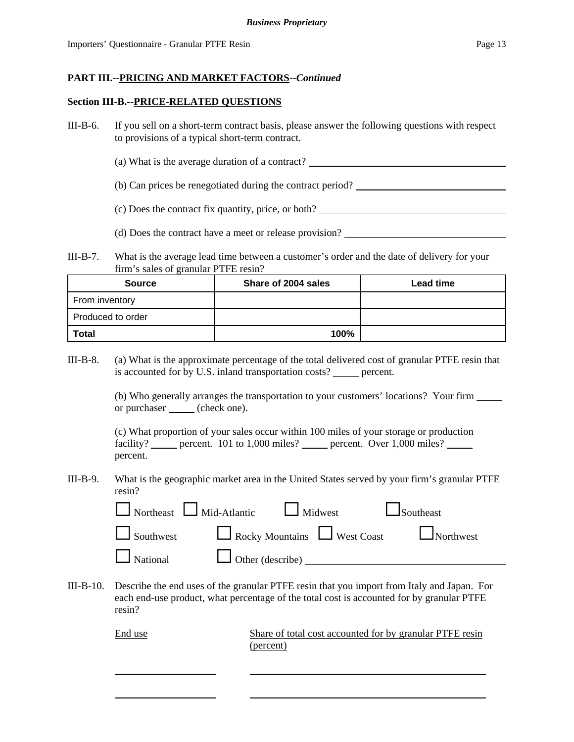### **Section III-B.--PRICE-RELATED QUESTIONS**

- III-B-6. If you sell on a short-term contract basis, please answer the following questions with respect to provisions of a typical short-term contract.
	- (a) What is the average duration of a contract?
	- (b) Can prices be renegotiated during the contract period?
	- (c) Does the contract fix quantity, price, or both?
	- (d) Does the contract have a meet or release provision?
- III-B-7. What is the average lead time between a customer's order and the date of delivery for your firm's sales of granular PTFE resin?

| Share of 2004 sales<br><b>Source</b> |      | <b>Lead time</b> |
|--------------------------------------|------|------------------|
| From inventory                       |      |                  |
| Produced to order                    |      |                  |
| <b>Total</b>                         | 100% |                  |

III-B-8. (a) What is the approximate percentage of the total delivered cost of granular PTFE resin that is accounted for by U.S. inland transportation costs? percent.

> (b) Who generally arranges the transportation to your customers' locations? Your firm or purchaser (check one).

(c) What proportion of your sales occur within 100 miles of your storage or production facility? percent. 101 to 1,000 miles? percent. Over 1,000 miles? percent.

III-B-9. What is the geographic market area in the United States served by your firm's granular PTFE resin?

|                                                | $\Box$ Northeast $\Box$ Mid-Atlantic $\Box$ Midwest | $\Box$ Southeast                               |
|------------------------------------------------|-----------------------------------------------------|------------------------------------------------|
|                                                |                                                     | Southwest Rocky Mountains West Coast Northwest |
| $\Box$ National $\Box$ Other (describe) $\Box$ |                                                     |                                                |

III-B-10. Describe the end uses of the granular PTFE resin that you import from Italy and Japan. For each end-use product, what percentage of the total cost is accounted for by granular PTFE resin?

> End use Share of total cost accounted for by granular PTFE resin (percent)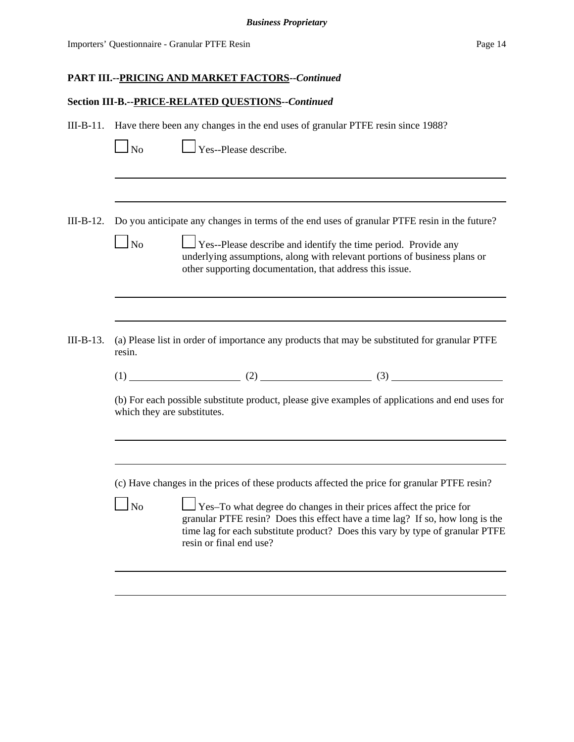#### **Section III-B.--PRICE-RELATED QUESTIONS--***Continued*

| III-B-11. Have there been any changes in the end uses of granular PTFE resin since 1988? |  |  |
|------------------------------------------------------------------------------------------|--|--|
|                                                                                          |  |  |

 $\Box$  Yes--Please describe.

III-B-12. Do you anticipate any changes in terms of the end uses of granular PTFE resin in the future?

III-B-13. (a) Please list in order of importance any products that may be substituted for granular PTFE resin.

 $(1)$  (2) (3) (3)

(b) For each possible substitute product, please give examples of applications and end uses for which they are substitutes.

(c) Have changes in the prices of these products affected the price for granular PTFE resin?

 $\Box$  Yes–To what degree do changes in their prices affect the price for granular PTFE resin? Does this effect have a time lag? If so, how long is the time lag for each substitute product? Does this vary by type of granular PTFE resin or final end use?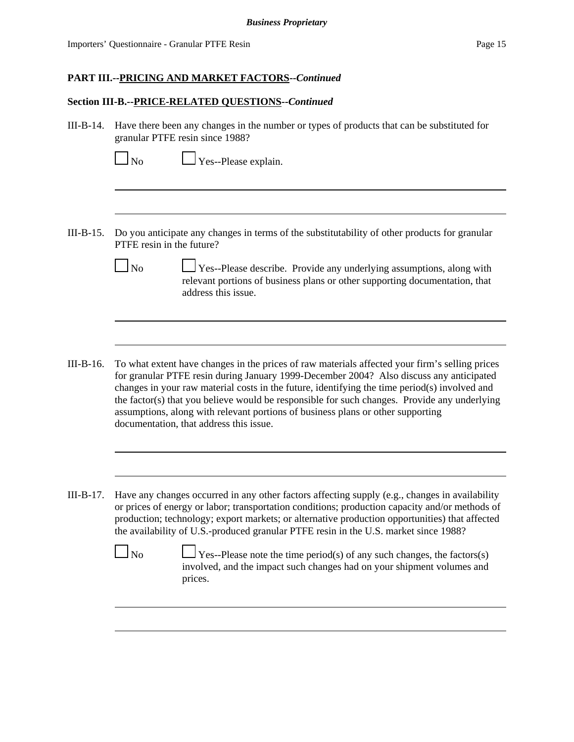#### **Section III-B.--PRICE-RELATED QUESTIONS--***Continued*

III-B-14. Have there been any changes in the number or types of products that can be substituted for granular PTFE resin since 1988?

 $\Box$  Yes--Please explain.

- III-B-15. Do you anticipate any changes in terms of the substitutability of other products for granular PTFE resin in the future?
	- No  $\Box$  Yes--Please describe. Provide any underlying assumptions, along with relevant portions of business plans or other supporting documentation, that address this issue.
- III-B-16. To what extent have changes in the prices of raw materials affected your firm's selling prices for granular PTFE resin during January 1999-December 2004? Also discuss any anticipated changes in your raw material costs in the future, identifying the time period(s) involved and the factor(s) that you believe would be responsible for such changes. Provide any underlying assumptions, along with relevant portions of business plans or other supporting documentation, that address this issue.
- III-B-17. Have any changes occurred in any other factors affecting supply (e.g., changes in availability or prices of energy or labor; transportation conditions; production capacity and/or methods of production; technology; export markets; or alternative production opportunities) that affected the availability of U.S.-produced granular PTFE resin in the U.S. market since 1988?
	- No  $\Box$  Yes--Please note the time period(s) of any such changes, the factors(s) involved, and the impact such changes had on your shipment volumes and prices.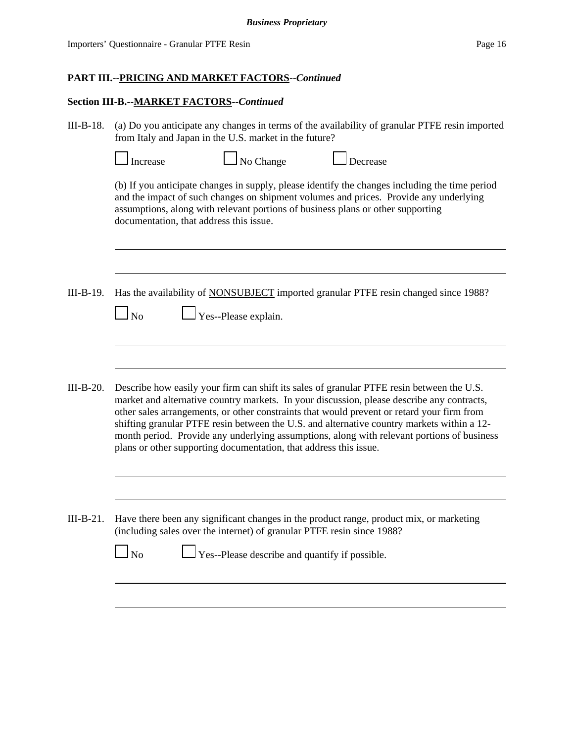#### **Section III-B.--MARKET FACTORS--***Continued*

III-B-18. (a) Do you anticipate any changes in terms of the availability of granular PTFE resin imported from Italy and Japan in the U.S. market in the future?

|           | Increase                                                                                                                                                                                                                                                                                                              | No Change                                                         | Decrease                                                                                                                                                                                                                                                                                                                                                                                                                                                                          |  |  |
|-----------|-----------------------------------------------------------------------------------------------------------------------------------------------------------------------------------------------------------------------------------------------------------------------------------------------------------------------|-------------------------------------------------------------------|-----------------------------------------------------------------------------------------------------------------------------------------------------------------------------------------------------------------------------------------------------------------------------------------------------------------------------------------------------------------------------------------------------------------------------------------------------------------------------------|--|--|
|           | (b) If you anticipate changes in supply, please identify the changes including the time period<br>and the impact of such changes on shipment volumes and prices. Provide any underlying<br>assumptions, along with relevant portions of business plans or other supporting<br>documentation, that address this issue. |                                                                   |                                                                                                                                                                                                                                                                                                                                                                                                                                                                                   |  |  |
|           |                                                                                                                                                                                                                                                                                                                       |                                                                   |                                                                                                                                                                                                                                                                                                                                                                                                                                                                                   |  |  |
| III-B-19. | $\ln$                                                                                                                                                                                                                                                                                                                 | Yes--Please explain.                                              | Has the availability of <b>NONSUBJECT</b> imported granular PTFE resin changed since 1988?                                                                                                                                                                                                                                                                                                                                                                                        |  |  |
|           |                                                                                                                                                                                                                                                                                                                       |                                                                   |                                                                                                                                                                                                                                                                                                                                                                                                                                                                                   |  |  |
| III-B-20. |                                                                                                                                                                                                                                                                                                                       | plans or other supporting documentation, that address this issue. | Describe how easily your firm can shift its sales of granular PTFE resin between the U.S.<br>market and alternative country markets. In your discussion, please describe any contracts,<br>other sales arrangements, or other constraints that would prevent or retard your firm from<br>shifting granular PTFE resin between the U.S. and alternative country markets within a 12-<br>month period. Provide any underlying assumptions, along with relevant portions of business |  |  |
|           |                                                                                                                                                                                                                                                                                                                       |                                                                   |                                                                                                                                                                                                                                                                                                                                                                                                                                                                                   |  |  |
| III-B-21. | Have there been any significant changes in the product range, product mix, or marketing<br>(including sales over the internet) of granular PTFE resin since 1988?                                                                                                                                                     |                                                                   |                                                                                                                                                                                                                                                                                                                                                                                                                                                                                   |  |  |
|           | No                                                                                                                                                                                                                                                                                                                    | Yes--Please describe and quantify if possible.                    |                                                                                                                                                                                                                                                                                                                                                                                                                                                                                   |  |  |
|           |                                                                                                                                                                                                                                                                                                                       |                                                                   |                                                                                                                                                                                                                                                                                                                                                                                                                                                                                   |  |  |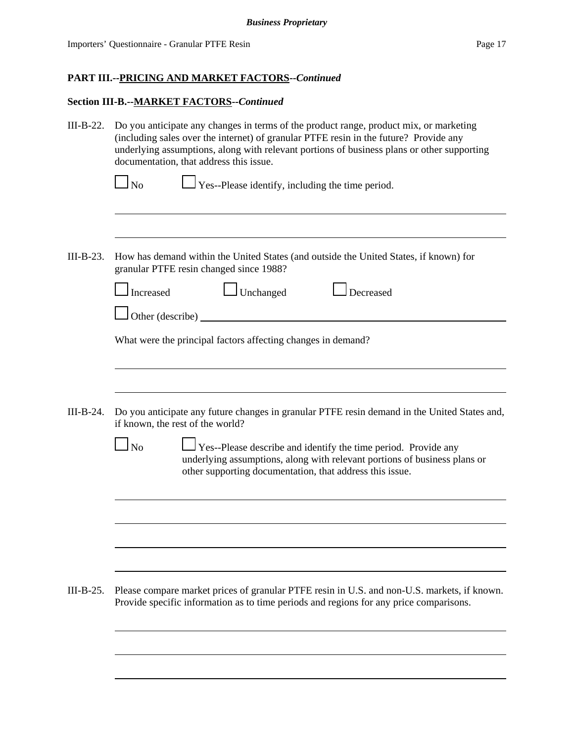# **Section III-B.--MARKET FACTORS--***Continued*

| III-B-22.   | Do you anticipate any changes in terms of the product range, product mix, or marketing<br>(including sales over the internet) of granular PTFE resin in the future? Provide any<br>underlying assumptions, along with relevant portions of business plans or other supporting<br>documentation, that address this issue. |  |  |  |  |
|-------------|--------------------------------------------------------------------------------------------------------------------------------------------------------------------------------------------------------------------------------------------------------------------------------------------------------------------------|--|--|--|--|
|             | $\Box$ Yes--Please identify, including the time period.<br>$\log$                                                                                                                                                                                                                                                        |  |  |  |  |
| $III-B-23.$ | How has demand within the United States (and outside the United States, if known) for<br>granular PTFE resin changed since 1988?                                                                                                                                                                                         |  |  |  |  |
|             | Unchanged<br>Decreased<br>Increased<br>Other (describe) _                                                                                                                                                                                                                                                                |  |  |  |  |
|             | What were the principal factors affecting changes in demand?                                                                                                                                                                                                                                                             |  |  |  |  |
| III-B-24.   | Do you anticipate any future changes in granular PTFE resin demand in the United States and,                                                                                                                                                                                                                             |  |  |  |  |
|             | if known, the rest of the world?<br>$\log$<br><b>Yes--Please describe and identify the time period. Provide any</b><br>underlying assumptions, along with relevant portions of business plans or<br>other supporting documentation, that address this issue.                                                             |  |  |  |  |
|             |                                                                                                                                                                                                                                                                                                                          |  |  |  |  |
|             |                                                                                                                                                                                                                                                                                                                          |  |  |  |  |
| $III-B-25.$ | Please compare market prices of granular PTFE resin in U.S. and non-U.S. markets, if known.<br>Provide specific information as to time periods and regions for any price comparisons.                                                                                                                                    |  |  |  |  |
|             |                                                                                                                                                                                                                                                                                                                          |  |  |  |  |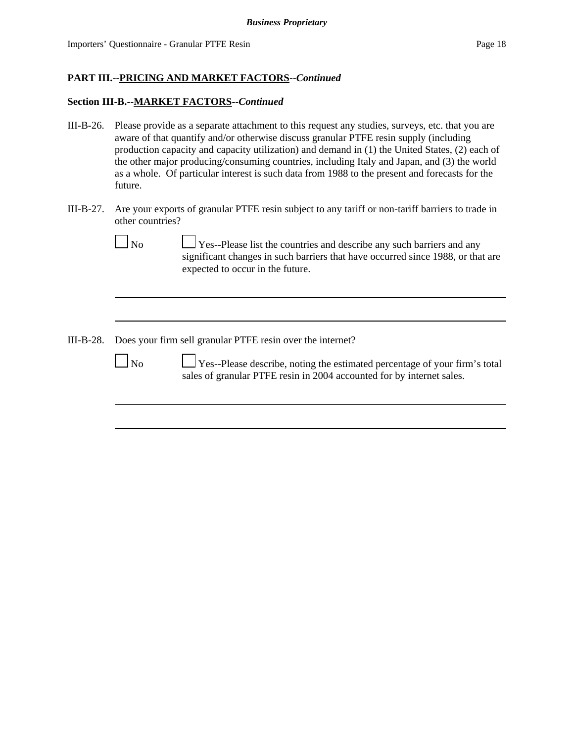### **Section III-B.--MARKET FACTORS--***Continued*

- III-B-26. Please provide as a separate attachment to this request any studies, surveys, etc. that you are aware of that quantify and/or otherwise discuss granular PTFE resin supply (including production capacity and capacity utilization) and demand in (1) the United States, (2) each of the other major producing/consuming countries, including Italy and Japan, and (3) the world as a whole. Of particular interest is such data from 1988 to the present and forecasts for the future.
- III-B-27. Are your exports of granular PTFE resin subject to any tariff or non-tariff barriers to trade in other countries?

| No | $\Box$ Yes--Please list the countries and describe any such barriers and any    |
|----|---------------------------------------------------------------------------------|
|    | significant changes in such barriers that have occurred since 1988, or that are |
|    | expected to occur in the future.                                                |
|    |                                                                                 |

III-B-28. Does your firm sell granular PTFE resin over the internet?

 No Yes--Please describe, noting the estimated percentage of your firm's total sales of granular PTFE resin in 2004 accounted for by internet sales.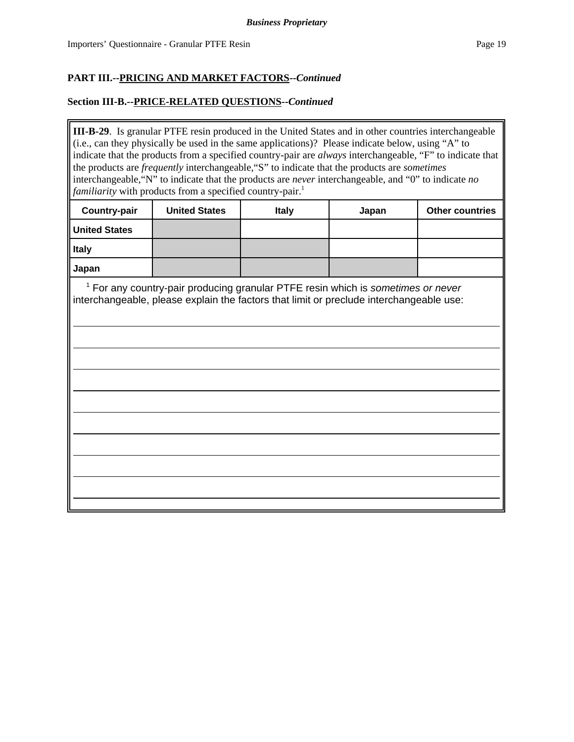### **Section III-B.--PRICE-RELATED QUESTIONS--***Continued*

**III-B-29**. Is granular PTFE resin produced in the United States and in other countries interchangeable (i.e., can they physically be used in the same applications)? Please indicate below, using "A" to indicate that the products from a specified country-pair are *always* interchangeable, "F" to indicate that the products are *frequently* interchangeable,"S" to indicate that the products are *sometimes* interchangeable,"N" to indicate that the products are *never* interchangeable, and "0" to indicate *no familiarity* with products from a specified country-pair.<sup>1</sup>

| <b>Country-pair</b>  | <b>United States</b> | <b>Italy</b> | Japan | <b>Other countries</b> |
|----------------------|----------------------|--------------|-------|------------------------|
| <b>United States</b> |                      |              |       |                        |
| <b>Italy</b>         |                      |              |       |                        |
| Japan                |                      |              |       |                        |

<sup>1</sup> For any country-pair producing granular PTFE resin which is *sometimes or never* interchangeable, please explain the factors that limit or preclude interchangeable use: